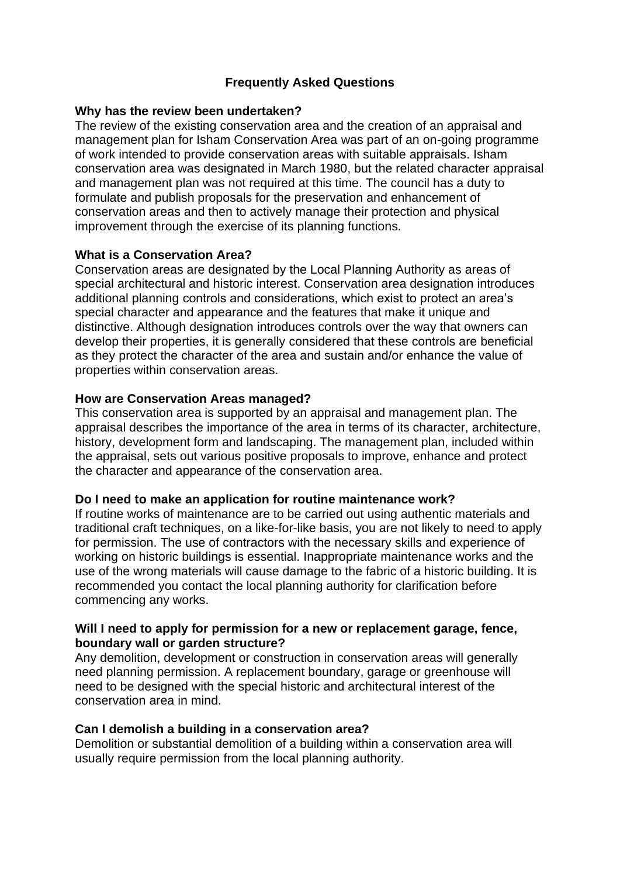# **Frequently Asked Questions**

# **Why has the review been undertaken?**

The review of the existing conservation area and the creation of an appraisal and management plan for Isham Conservation Area was part of an on-going programme of work intended to provide conservation areas with suitable appraisals. Isham conservation area was designated in March 1980, but the related character appraisal and management plan was not required at this time. The council has a duty to formulate and publish proposals for the preservation and enhancement of conservation areas and then to actively manage their protection and physical improvement through the exercise of its planning functions.

# **What is a Conservation Area?**

Conservation areas are designated by the Local Planning Authority as areas of special architectural and historic interest. Conservation area designation introduces additional planning controls and considerations, which exist to protect an area's special character and appearance and the features that make it unique and distinctive. Although designation introduces controls over the way that owners can develop their properties, it is generally considered that these controls are beneficial as they protect the character of the area and sustain and/or enhance the value of properties within conservation areas.

# **How are Conservation Areas managed?**

This conservation area is supported by an appraisal and management plan. The appraisal describes the importance of the area in terms of its character, architecture, history, development form and landscaping. The management plan, included within the appraisal, sets out various positive proposals to improve, enhance and protect the character and appearance of the conservation area.

#### **Do I need to make an application for routine maintenance work?**

If routine works of maintenance are to be carried out using authentic materials and traditional craft techniques, on a like-for-like basis, you are not likely to need to apply for permission. The use of contractors with the necessary skills and experience of working on historic buildings is essential. Inappropriate maintenance works and the use of the wrong materials will cause damage to the fabric of a historic building. It is recommended you contact the local planning authority for clarification before commencing any works.

# **Will I need to apply for permission for a new or replacement garage, fence, boundary wall or garden structure?**

Any demolition, development or construction in conservation areas will generally need planning permission. A replacement boundary, garage or greenhouse will need to be designed with the special historic and architectural interest of the conservation area in mind.

#### **Can I demolish a building in a conservation area?**

Demolition or substantial demolition of a building within a conservation area will usually require permission from the local planning authority.